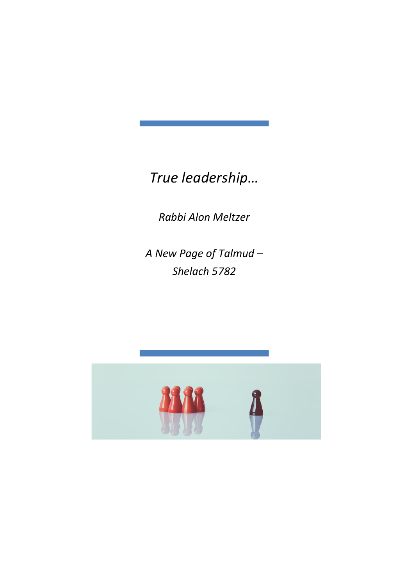*True leadership…*

*Rabbi Alon Meltzer*

*A New Page of Talmud – Shelach 5782*